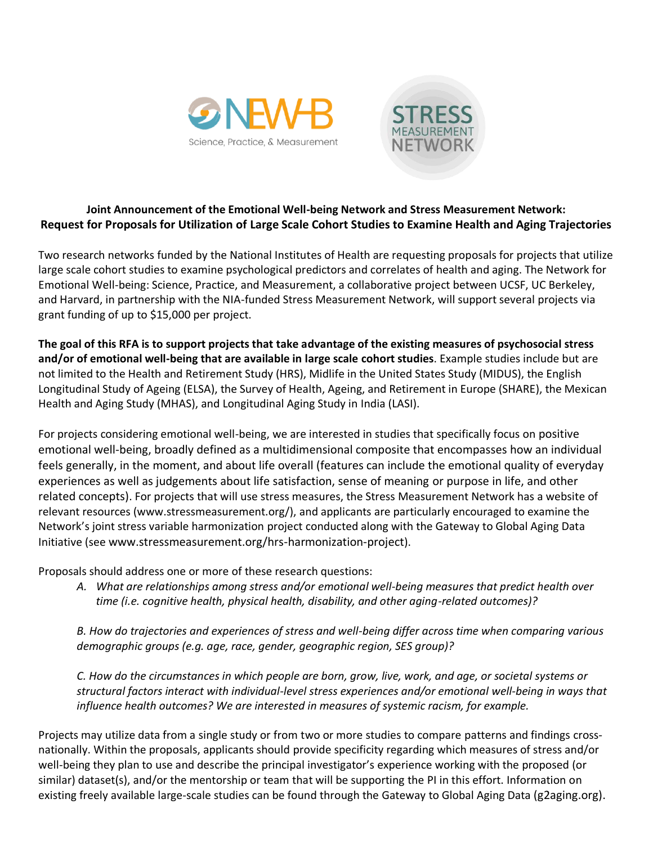



## **Joint Announcement of the Emotional Well-being Network and Stress Measurement Network: Request for Proposals for Utilization of Large Scale Cohort Studies to Examine Health and Aging Trajectories**

Two research networks funded by the National Institutes of Health are requesting proposals for projects that utilize large scale cohort studies to examine psychological predictors and correlates of health and aging. The Network for Emotional Well-being: Science, Practice, and Measurement, a collaborative project between UCSF, UC Berkeley, and Harvard, in partnership with the NIA-funded Stress Measurement Network, will support several projects via grant funding of up to \$15,000 per project.

**The goal of this RFA is to support projects that take advantage of the existing measures of psychosocial stress and/or of emotional well-being that are available in large scale cohort studies**. Example studies include but are not limited to the Health and Retirement Study (HRS), Midlife in the United States Study (MIDUS), the English Longitudinal Study of Ageing (ELSA), the Survey of Health, Ageing, and Retirement in Europe (SHARE), the Mexican Health and Aging Study (MHAS), and Longitudinal Aging Study in India (LASI).

For projects considering emotional well-being, we are interested in studies that specifically focus on positive emotional well-being, broadly defined as a multidimensional composite that encompasses how an individual feels generally, in the moment, and about life overall (features can include the emotional quality of everyday experiences as well as judgements about life satisfaction, sense of meaning or purpose in life, and other related concepts). For projects that will use stress measures, the Stress Measurement Network has a website of relevant resources (www.stressmeasurement.org/), and applicants are particularly encouraged to examine the Network's joint stress variable harmonization project conducted along with the Gateway to Global Aging Data Initiative (see www.stressmeasurement.org/hrs-harmonization-project).

Proposals should address one or more of these research questions:

*A. What are relationships among stress and/or emotional well-being measures that predict health over time (i.e. cognitive health, physical health, disability, and other aging-related outcomes)?*

*B. How do trajectories and experiences of stress and well-being differ across time when comparing various demographic groups (e.g. age, race, gender, geographic region, SES group)?*

*C. How do the circumstances in which people are born, grow, live, work, and age, or societal systems or structural factors interact with individual-level stress experiences and/or emotional well-being in ways that influence health outcomes? We are interested in measures of systemic racism, for example.* 

Projects may utilize data from a single study or from two or more studies to compare patterns and findings crossnationally. Within the proposals, applicants should provide specificity regarding which measures of stress and/or well-being they plan to use and describe the principal investigator's experience working with the proposed (or similar) dataset(s), and/or the mentorship or team that will be supporting the PI in this effort. Information on existing freely available large-scale studies can be found through the Gateway to Global Aging Data (g2aging.org).